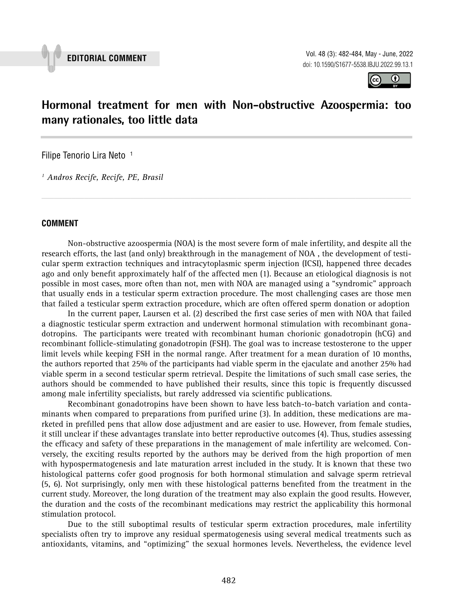

**EDITORIAL COMMENT** Vol. 48 (3): 482-484, May - June, 2022 doi: 10.1590/S1677-5538.IBJU.2022.99.13.1



# **Hormonal treatment for men with Non-obstructive Azoospermia: too many rationales, too little data \_\_\_\_\_\_\_\_\_\_\_\_\_\_\_\_\_\_\_\_\_\_\_\_\_\_\_\_\_\_\_\_\_\_\_\_\_\_\_\_\_\_\_\_\_\_\_**

Filipe Tenorio Lira Neto<sup>1</sup>

*1 Andros Recife, Recife, PE, Brasil*

### **COMMENT**

Non-obstructive azoospermia (NOA) is the most severe form of male infertility, and despite all the research efforts, the last (and only) breakthrough in the management of NOA , the development of testicular sperm extraction techniques and intracytoplasmic sperm injection (ICSI), happened three decades ago and only benefit approximately half of the affected men (1). Because an etiological diagnosis is not possible in most cases, more often than not, men with NOA are managed using a "syndromic" approach that usually ends in a testicular sperm extraction procedure. The most challenging cases are those men that failed a testicular sperm extraction procedure, which are often offered sperm donation or adoption

*\_\_\_\_\_\_\_\_\_\_\_\_\_\_\_\_\_\_\_\_\_\_\_\_\_\_\_\_\_\_\_\_\_\_\_\_\_\_\_\_\_\_\_\_\_\_\_\_\_\_\_\_\_\_\_\_\_\_\_\_\_\_\_\_\_\_\_\_\_\_\_\_\_\_\_\_\_\_\_\_\_\_\_\_\_\_\_*

In the current paper, Laursen et al. (2) described the first case series of men with NOA that failed a diagnostic testicular sperm extraction and underwent hormonal stimulation with recombinant gonadotropins. The participants were treated with recombinant human chorionic gonadotropin (hCG) and recombinant follicle-stimulating gonadotropin (FSH). The goal was to increase testosterone to the upper limit levels while keeping FSH in the normal range. After treatment for a mean duration of 10 months, the authors reported that 25% of the participants had viable sperm in the ejaculate and another 25% had viable sperm in a second testicular sperm retrieval. Despite the limitations of such small case series, the authors should be commended to have published their results, since this topic is frequently discussed among male infertility specialists, but rarely addressed via scientific publications.

Recombinant gonadotropins have been shown to have less batch-to-batch variation and contaminants when compared to preparations from purified urine (3). In addition, these medications are marketed in prefilled pens that allow dose adjustment and are easier to use. However, from female studies, it still unclear if these advantages translate into better reproductive outcomes (4). Thus, studies assessing the efficacy and safety of these preparations in the management of male infertility are welcomed. Conversely, the exciting results reported by the authors may be derived from the high proportion of men with hypospermatogenesis and late maturation arrest included in the study. It is known that these two histological patterns cofer good prognosis for both hormonal stimulation and salvage sperm retrieval (5, 6). Not surprisingly, only men with these histological patterns benefited from the treatment in the current study. Moreover, the long duration of the treatment may also explain the good results. However, the duration and the costs of the recombinant medications may restrict the applicability this hormonal stimulation protocol.

Due to the still suboptimal results of testicular sperm extraction procedures, male infertility specialists often try to improve any residual spermatogenesis using several medical treatments such as antioxidants, vitamins, and "optimizing" the sexual hormones levels. Nevertheless, the evidence level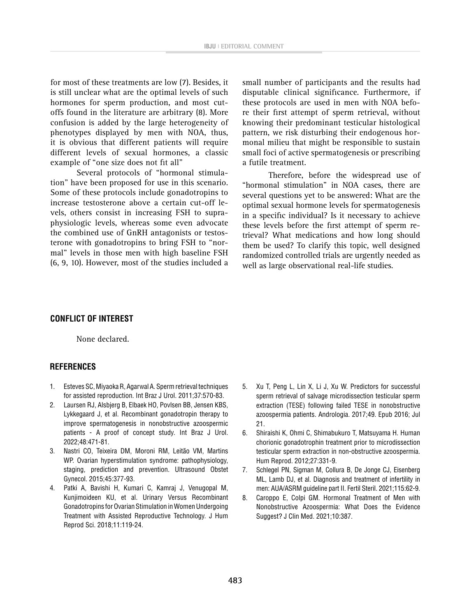for most of these treatments are low (7). Besides, it is still unclear what are the optimal levels of such hormones for sperm production, and most cutoffs found in the literature are arbitrary (8). More confusion is added by the large heterogeneity of phenotypes displayed by men with NOA, thus, it is obvious that different patients will require different levels of sexual hormones, a classic example of "one size does not fit all"

Several protocols of "hormonal stimulation" have been proposed for use in this scenario. Some of these protocols include gonadotropins to increase testosterone above a certain cut-off levels, others consist in increasing FSH to supraphysiologic levels, whereas some even advocate the combined use of GnRH antagonists or testosterone with gonadotropins to bring FSH to "normal" levels in those men with high baseline FSH (6, 9, 10). However, most of the studies included a small number of participants and the results had disputable clinical significance. Furthermore, if these protocols are used in men with NOA before their first attempt of sperm retrieval, without knowing their predominant testicular histological pattern, we risk disturbing their endogenous hormonal milieu that might be responsible to sustain small foci of active spermatogenesis or prescribing a futile treatment.

Therefore, before the widespread use of "hormonal stimulation" in NOA cases, there are several questions yet to be answered: What are the optimal sexual hormone levels for spermatogenesis in a specific individual? Is it necessary to achieve these levels before the first attempt of sperm retrieval? What medications and how long should them be used? To clarify this topic, well designed randomized controlled trials are urgently needed as well as large observational real-life studies.

#### **CONFLICT OF INTEREST**

None declared.

#### **REFERENCES**

- 1. Esteves SC, Miyaoka R, Agarwal A. Sperm retrieval techniques for assisted reproduction. Int Braz J Urol. 2011;37:570-83.
- 2. Laursen RJ, Alsbjerg B, Elbaek HO, Povlsen BB, Jensen KBS, Lykkegaard J, et al. Recombinant gonadotropin therapy to improve spermatogenesis in nonobstructive azoospermic patients - A proof of concept study. Int Braz J Urol. 2022;48:471-81.
- 3. Nastri CO, Teixeira DM, Moroni RM, Leitão VM, Martins WP. Ovarian hyperstimulation syndrome: pathophysiology, staging, prediction and prevention. Ultrasound Obstet Gynecol. 2015;45:377-93.
- 4. Patki A, Bavishi H, Kumari C, Kamraj J, Venugopal M, Kunjimoideen KU, et al. Urinary Versus Recombinant Gonadotropins for Ovarian Stimulation in Women Undergoing Treatment with Assisted Reproductive Technology. J Hum Reprod Sci. 2018;11:119-24.
- 5. Xu T, Peng L, Lin X, Li J, Xu W. Predictors for successful sperm retrieval of salvage microdissection testicular sperm extraction (TESE) following failed TESE in nonobstructive azoospermia patients. Andrologia. 2017;49. Epub 2016; Jul 21.
- 6. Shiraishi K, Ohmi C, Shimabukuro T, Matsuyama H. Human chorionic gonadotrophin treatment prior to microdissection testicular sperm extraction in non-obstructive azoospermia. Hum Reprod. 2012;27:331-9.
- 7. Schlegel PN, Sigman M, Collura B, De Jonge CJ, Eisenberg ML, Lamb DJ, et al. Diagnosis and treatment of infertility in men: AUA/ASRM guideline part II. Fertil Steril. 2021;115:62-9.
- 8. Caroppo E, Colpi GM. Hormonal Treatment of Men with Nonobstructive Azoospermia: What Does the Evidence Suggest? J Clin Med. 2021;10:387.